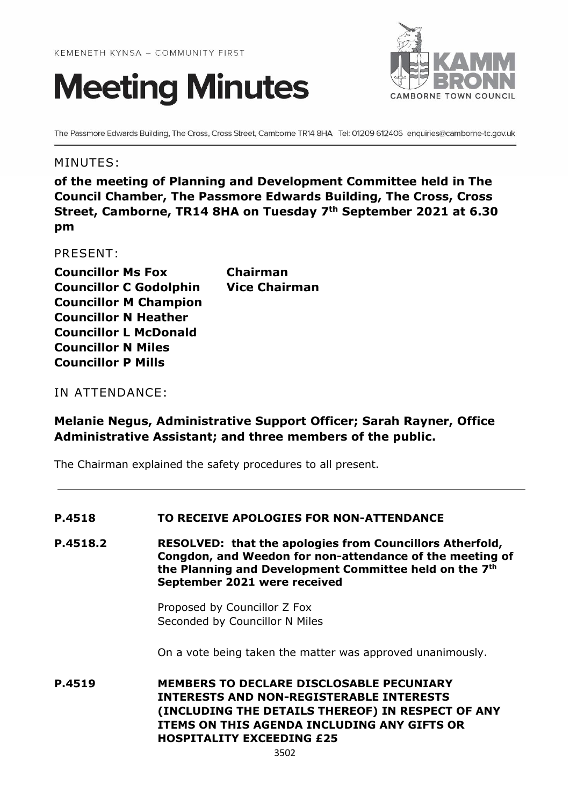



The Passmore Edwards Building, The Cross, Cross Street, Camborne TR14 8HA Tel: 01209 612406 enquiries@camborne-tc.gov.uk

# MINUTES:

**of the meeting of Planning and Development Committee held in The Council Chamber, The Passmore Edwards Building, The Cross, Cross Street, Camborne, TR14 8HA on Tuesday 7th September 2021 at 6.30 pm**

PRESENT:

**Councillor Ms Fox Chairman Councillor C Godolphin Vice Chairman Councillor M Champion Councillor N Heather Councillor L McDonald Councillor N Miles Councillor P Mills**

IN ATTENDANCE:

# **Melanie Negus, Administrative Support Officer; Sarah Rayner, Office Administrative Assistant; and three members of the public.**

The Chairman explained the safety procedures to all present.

#### **P.4518 TO RECEIVE APOLOGIES FOR NON-ATTENDANCE**

**P.4518.2 RESOLVED: that the apologies from Councillors Atherfold, Congdon, and Weedon for non-attendance of the meeting of the Planning and Development Committee held on the 7 th September 2021 were received**

> Proposed by Councillor Z Fox Seconded by Councillor N Miles

On a vote being taken the matter was approved unanimously.

**P.4519 MEMBERS TO DECLARE DISCLOSABLE PECUNIARY INTERESTS AND NON-REGISTERABLE INTERESTS (INCLUDING THE DETAILS THEREOF) IN RESPECT OF ANY ITEMS ON THIS AGENDA INCLUDING ANY GIFTS OR HOSPITALITY EXCEEDING £25**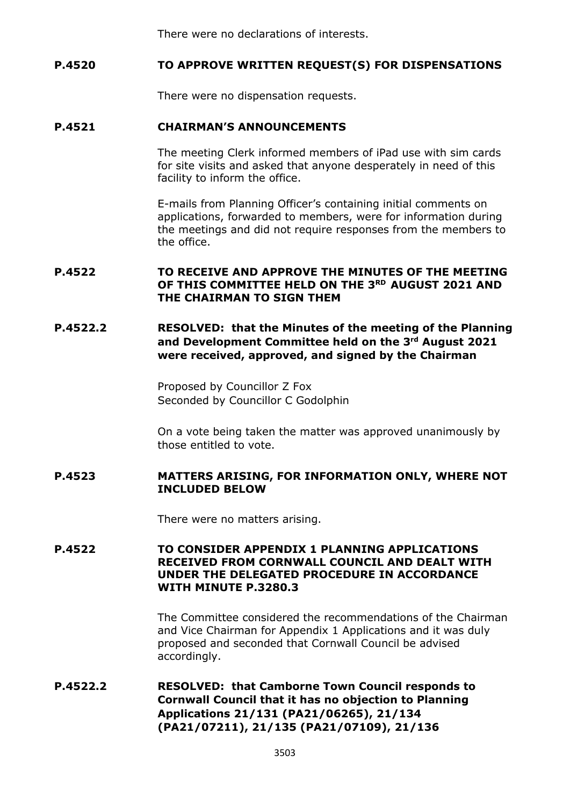There were no declarations of interests.

# **P.4520 TO APPROVE WRITTEN REQUEST(S) FOR DISPENSATIONS**

There were no dispensation requests.

#### **P.4521 CHAIRMAN'S ANNOUNCEMENTS**

The meeting Clerk informed members of iPad use with sim cards for site visits and asked that anyone desperately in need of this facility to inform the office.

E-mails from Planning Officer's containing initial comments on applications, forwarded to members, were for information during the meetings and did not require responses from the members to the office.

#### **P.4522 TO RECEIVE AND APPROVE THE MINUTES OF THE MEETING OF THIS COMMITTEE HELD ON THE 3 RD AUGUST 2021 AND THE CHAIRMAN TO SIGN THEM**

# **P.4522.2 RESOLVED: that the Minutes of the meeting of the Planning and Development Committee held on the 3 rd August 2021 were received, approved, and signed by the Chairman**

Proposed by Councillor Z Fox Seconded by Councillor C Godolphin

On a vote being taken the matter was approved unanimously by those entitled to vote.

#### **P.4523 MATTERS ARISING, FOR INFORMATION ONLY, WHERE NOT INCLUDED BELOW**

There were no matters arising.

## **P.4522 TO CONSIDER APPENDIX 1 PLANNING APPLICATIONS RECEIVED FROM CORNWALL COUNCIL AND DEALT WITH UNDER THE DELEGATED PROCEDURE IN ACCORDANCE WITH MINUTE P.3280.3**

The Committee considered the recommendations of the Chairman and Vice Chairman for Appendix 1 Applications and it was duly proposed and seconded that Cornwall Council be advised accordingly.

# **P.4522.2 RESOLVED: that Camborne Town Council responds to Cornwall Council that it has no objection to Planning Applications 21/131 (PA21/06265), 21/134 (PA21/07211), 21/135 (PA21/07109), 21/136**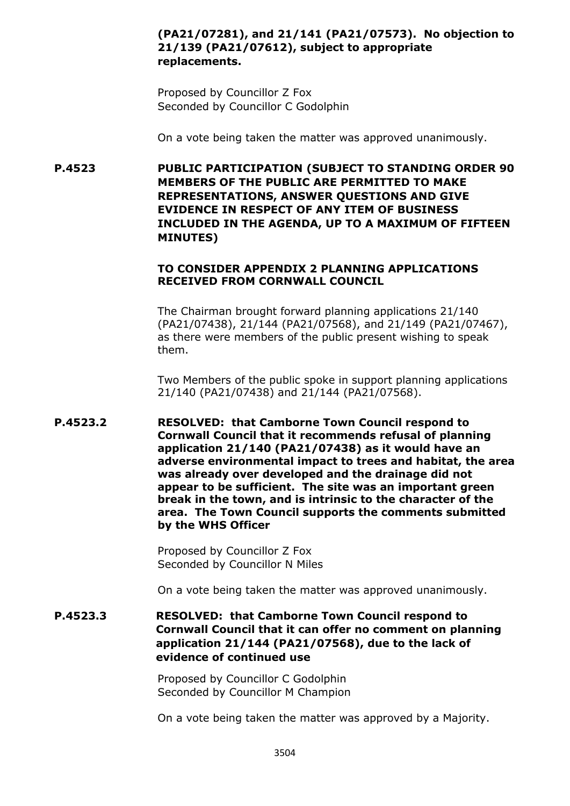# **(PA21/07281), and 21/141 (PA21/07573). No objection to 21/139 (PA21/07612), subject to appropriate replacements.**

Proposed by Councillor Z Fox Seconded by Councillor C Godolphin

On a vote being taken the matter was approved unanimously.

**P.4523 PUBLIC PARTICIPATION (SUBJECT TO STANDING ORDER 90 MEMBERS OF THE PUBLIC ARE PERMITTED TO MAKE REPRESENTATIONS, ANSWER QUESTIONS AND GIVE EVIDENCE IN RESPECT OF ANY ITEM OF BUSINESS INCLUDED IN THE AGENDA, UP TO A MAXIMUM OF FIFTEEN MINUTES)**

#### **TO CONSIDER APPENDIX 2 PLANNING APPLICATIONS RECEIVED FROM CORNWALL COUNCIL**

The Chairman brought forward planning applications 21/140 (PA21/07438), 21/144 (PA21/07568), and 21/149 (PA21/07467), as there were members of the public present wishing to speak them.

Two Members of the public spoke in support planning applications 21/140 (PA21/07438) and 21/144 (PA21/07568).

**P.4523.2 RESOLVED: that Camborne Town Council respond to Cornwall Council that it recommends refusal of planning application 21/140 (PA21/07438) as it would have an adverse environmental impact to trees and habitat, the area was already over developed and the drainage did not appear to be sufficient. The site was an important green break in the town, and is intrinsic to the character of the area. The Town Council supports the comments submitted by the WHS Officer**

> Proposed by Councillor Z Fox Seconded by Councillor N Miles

On a vote being taken the matter was approved unanimously.

**P.4523.3 RESOLVED: that Camborne Town Council respond to Cornwall Council that it can offer no comment on planning application 21/144 (PA21/07568), due to the lack of evidence of continued use** 

> Proposed by Councillor C Godolphin Seconded by Councillor M Champion

On a vote being taken the matter was approved by a Majority.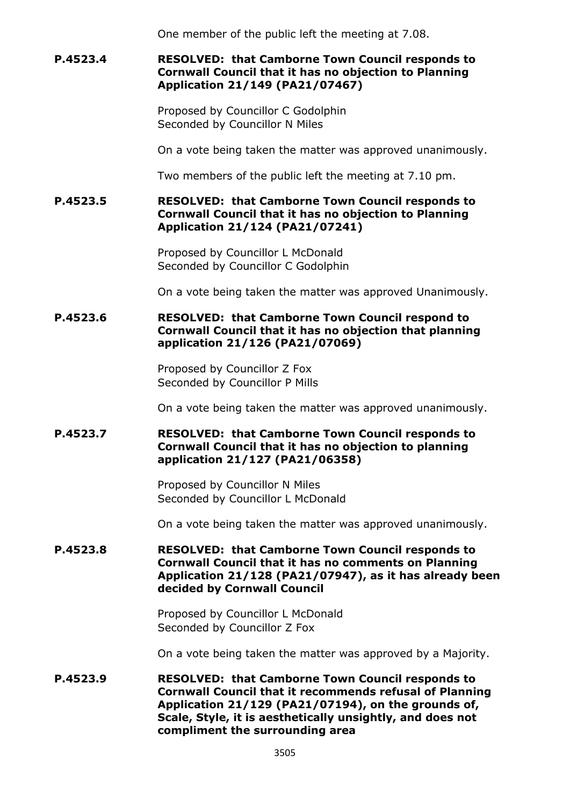One member of the public left the meeting at 7.08.

# **P.4523.4 RESOLVED: that Camborne Town Council responds to Cornwall Council that it has no objection to Planning Application 21/149 (PA21/07467)**

Proposed by Councillor C Godolphin Seconded by Councillor N Miles

On a vote being taken the matter was approved unanimously.

Two members of the public left the meeting at 7.10 pm.

## **P.4523.5 RESOLVED: that Camborne Town Council responds to Cornwall Council that it has no objection to Planning Application 21/124 (PA21/07241)**

Proposed by Councillor L McDonald Seconded by Councillor C Godolphin

On a vote being taken the matter was approved Unanimously.

## **P.4523.6 RESOLVED: that Camborne Town Council respond to Cornwall Council that it has no objection that planning application 21/126 (PA21/07069)**

Proposed by Councillor Z Fox Seconded by Councillor P Mills

On a vote being taken the matter was approved unanimously.

## **P.4523.7 RESOLVED: that Camborne Town Council responds to Cornwall Council that it has no objection to planning application 21/127 (PA21/06358)**

Proposed by Councillor N Miles Seconded by Councillor L McDonald

On a vote being taken the matter was approved unanimously.

#### **P.4523.8 RESOLVED: that Camborne Town Council responds to Cornwall Council that it has no comments on Planning Application 21/128 (PA21/07947), as it has already been decided by Cornwall Council**

Proposed by Councillor L McDonald Seconded by Councillor Z Fox

On a vote being taken the matter was approved by a Majority.

**P.4523.9 RESOLVED: that Camborne Town Council responds to Cornwall Council that it recommends refusal of Planning Application 21/129 (PA21/07194), on the grounds of, Scale, Style, it is aesthetically unsightly, and does not compliment the surrounding area**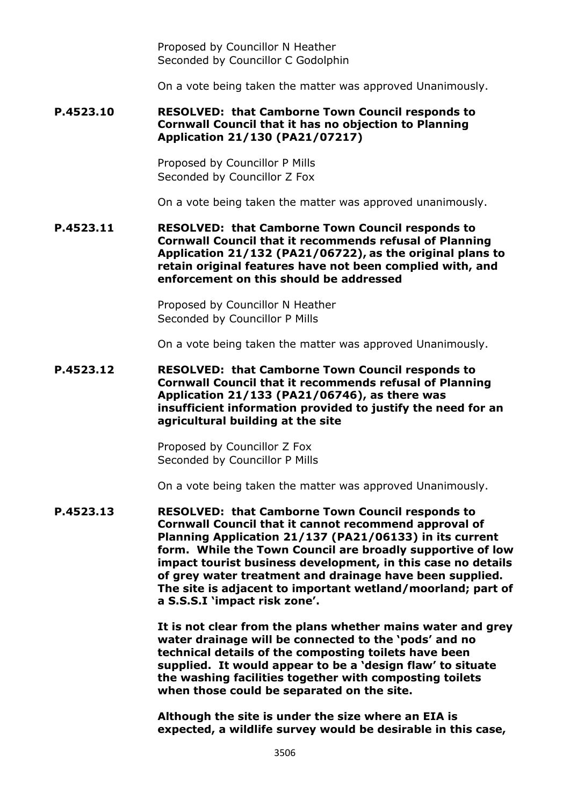Proposed by Councillor N Heather Seconded by Councillor C Godolphin

On a vote being taken the matter was approved Unanimously.

## **P.4523.10 RESOLVED: that Camborne Town Council responds to Cornwall Council that it has no objection to Planning Application 21/130 (PA21/07217)**

Proposed by Councillor P Mills Seconded by Councillor Z Fox

On a vote being taken the matter was approved unanimously.

### **P.4523.11 RESOLVED: that Camborne Town Council responds to Cornwall Council that it recommends refusal of Planning Application 21/132 (PA21/06722), as the original plans to retain original features have not been complied with, and enforcement on this should be addressed**

Proposed by Councillor N Heather Seconded by Councillor P Mills

On a vote being taken the matter was approved Unanimously.

**P.4523.12 RESOLVED: that Camborne Town Council responds to Cornwall Council that it recommends refusal of Planning Application 21/133 (PA21/06746), as there was insufficient information provided to justify the need for an agricultural building at the site**

> Proposed by Councillor Z Fox Seconded by Councillor P Mills

On a vote being taken the matter was approved Unanimously.

**P.4523.13 RESOLVED: that Camborne Town Council responds to Cornwall Council that it cannot recommend approval of Planning Application 21/137 (PA21/06133) in its current form. While the Town Council are broadly supportive of low impact tourist business development, in this case no details of grey water treatment and drainage have been supplied. The site is adjacent to important wetland/moorland; part of a S.S.S.I 'impact risk zone'.**

> **It is not clear from the plans whether mains water and grey water drainage will be connected to the 'pods' and no technical details of the composting toilets have been supplied. It would appear to be a 'design flaw' to situate the washing facilities together with composting toilets when those could be separated on the site.**

**Although the site is under the size where an EIA is expected, a wildlife survey would be desirable in this case,**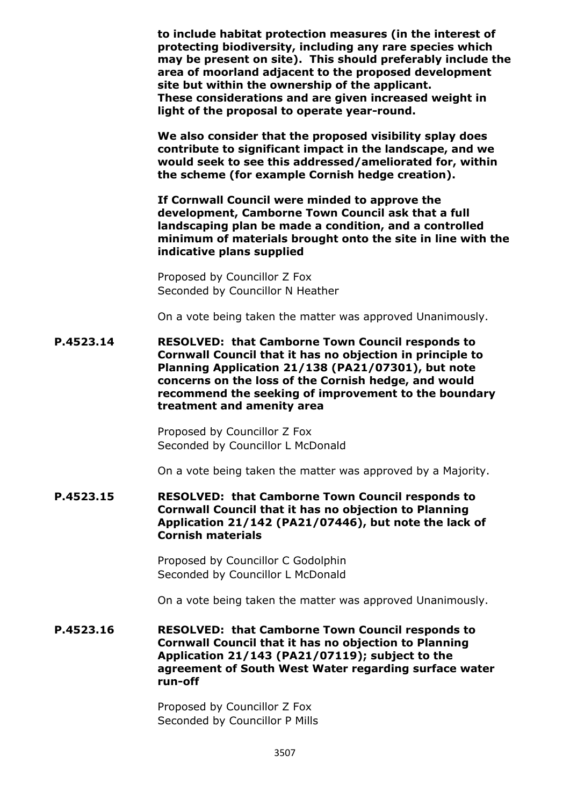**to include habitat protection measures (in the interest of protecting biodiversity, including any rare species which may be present on site). This should preferably include the area of moorland adjacent to the proposed development site but within the ownership of the applicant. These considerations and are given increased weight in light of the proposal to operate year-round.**

**We also consider that the proposed visibility splay does contribute to significant impact in the landscape, and we would seek to see this addressed/ameliorated for, within the scheme (for example Cornish hedge creation).**

**If Cornwall Council were minded to approve the development, Camborne Town Council ask that a full landscaping plan be made a condition, and a controlled minimum of materials brought onto the site in line with the indicative plans supplied**

Proposed by Councillor Z Fox Seconded by Councillor N Heather

On a vote being taken the matter was approved Unanimously.

**P.4523.14 RESOLVED: that Camborne Town Council responds to Cornwall Council that it has no objection in principle to Planning Application 21/138 (PA21/07301), but note concerns on the loss of the Cornish hedge, and would recommend the seeking of improvement to the boundary treatment and amenity area**

> Proposed by Councillor Z Fox Seconded by Councillor L McDonald

On a vote being taken the matter was approved by a Majority.

**P.4523.15 RESOLVED: that Camborne Town Council responds to Cornwall Council that it has no objection to Planning Application 21/142 (PA21/07446), but note the lack of Cornish materials**

> Proposed by Councillor C Godolphin Seconded by Councillor L McDonald

On a vote being taken the matter was approved Unanimously.

**P.4523.16 RESOLVED: that Camborne Town Council responds to Cornwall Council that it has no objection to Planning Application 21/143 (PA21/07119); subject to the agreement of South West Water regarding surface water run-off**

> Proposed by Councillor Z Fox Seconded by Councillor P Mills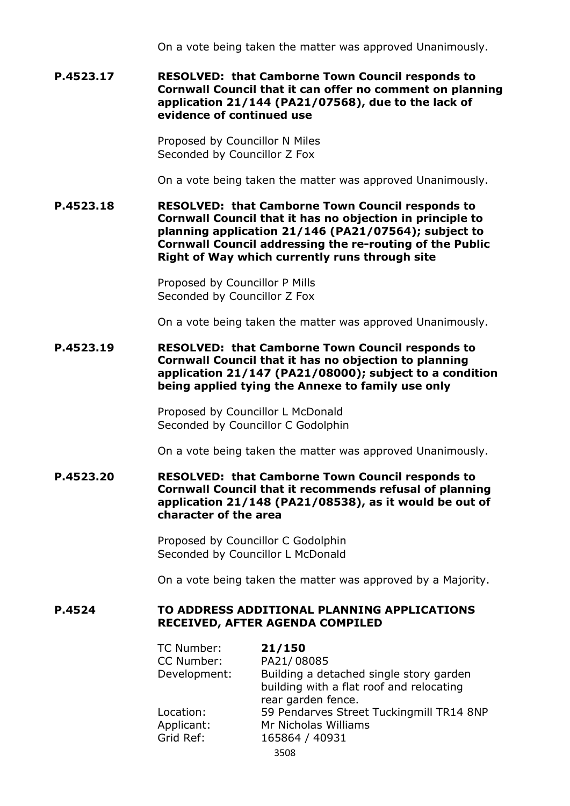On a vote being taken the matter was approved Unanimously.

#### **P.4523.17 RESOLVED: that Camborne Town Council responds to Cornwall Council that it can offer no comment on planning application 21/144 (PA21/07568), due to the lack of evidence of continued use**

Proposed by Councillor N Miles Seconded by Councillor Z Fox

On a vote being taken the matter was approved Unanimously.

**P.4523.18 RESOLVED: that Camborne Town Council responds to Cornwall Council that it has no objection in principle to planning application 21/146 (PA21/07564); subject to Cornwall Council addressing the re-routing of the Public Right of Way which currently runs through site**

> Proposed by Councillor P Mills Seconded by Councillor Z Fox

On a vote being taken the matter was approved Unanimously.

**P.4523.19 RESOLVED: that Camborne Town Council responds to Cornwall Council that it has no objection to planning application 21/147 (PA21/08000); subject to a condition being applied tying the Annexe to family use only**

> Proposed by Councillor L McDonald Seconded by Councillor C Godolphin

On a vote being taken the matter was approved Unanimously.

**P.4523.20 RESOLVED: that Camborne Town Council responds to Cornwall Council that it recommends refusal of planning application 21/148 (PA21/08538), as it would be out of character of the area**

> Proposed by Councillor C Godolphin Seconded by Councillor L McDonald

On a vote being taken the matter was approved by a Majority.

## **P.4524 TO ADDRESS ADDITIONAL PLANNING APPLICATIONS RECEIVED, AFTER AGENDA COMPILED**

| TC Number:   | 21/150                                   |
|--------------|------------------------------------------|
| CC Number:   | PA21/08085                               |
| Development: | Building a detached single story garden  |
|              | building with a flat roof and relocating |
|              | rear garden fence.                       |
| Location:    | 59 Pendarves Street Tuckingmill TR14 8NP |
| Applicant:   | Mr Nicholas Williams                     |
| Grid Ref:    | 165864 / 40931                           |
|              | 3508                                     |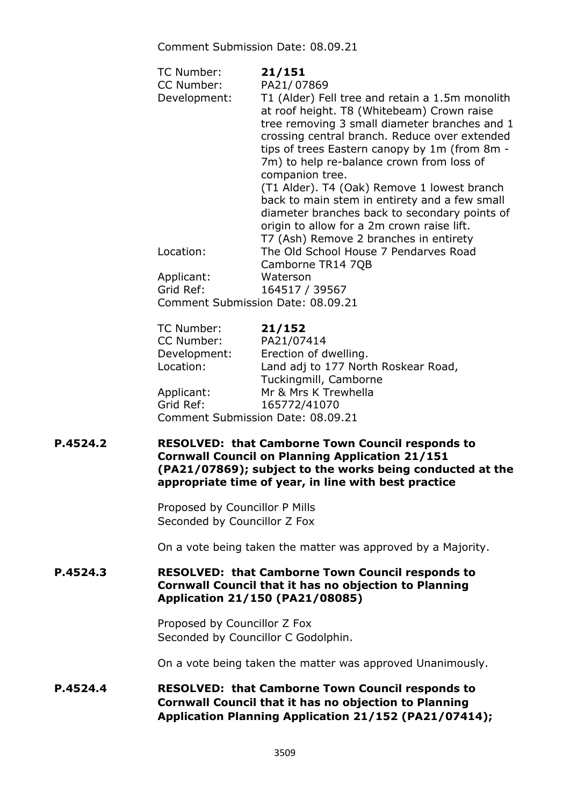Comment Submission Date: 08.09.21

| TC Number:<br>CC Number:<br>Development: | 21/151<br>PA21/07869<br>T1 (Alder) Fell tree and retain a 1.5m monolith<br>at roof height. T8 (Whitebeam) Crown raise<br>tree removing 3 small diameter branches and 1<br>crossing central branch. Reduce over extended<br>tips of trees Eastern canopy by 1m (from 8m -<br>7m) to help re-balance crown from loss of<br>companion tree. |
|------------------------------------------|------------------------------------------------------------------------------------------------------------------------------------------------------------------------------------------------------------------------------------------------------------------------------------------------------------------------------------------|
|                                          | (T1 Alder). T4 (Oak) Remove 1 lowest branch<br>back to main stem in entirety and a few small<br>diameter branches back to secondary points of<br>origin to allow for a 2m crown raise lift.<br>T7 (Ash) Remove 2 branches in entirety                                                                                                    |
| Location:                                | The Old School House 7 Pendarves Road<br>Camborne TR14 7QB                                                                                                                                                                                                                                                                               |
| Applicant:                               | Waterson                                                                                                                                                                                                                                                                                                                                 |
| Grid Ref:                                | 164517 / 39567                                                                                                                                                                                                                                                                                                                           |
| Comment Submission Date: 08.09.21        |                                                                                                                                                                                                                                                                                                                                          |
| — CRIPTAL                                |                                                                                                                                                                                                                                                                                                                                          |

| <b>IC Number:</b> | 21/152                              |
|-------------------|-------------------------------------|
| CC Number:        | PA21/07414                          |
| Development:      | Erection of dwelling.               |
| Location:         | Land adj to 177 North Roskear Road, |
|                   | Tuckingmill, Camborne               |
| Applicant:        | Mr & Mrs K Trewhella                |
| Grid Ref:         | 165772/41070                        |
|                   | Comment Submission Date: 08.09.21   |
|                   |                                     |

**P.4524.2 RESOLVED: that Camborne Town Council responds to Cornwall Council on Planning Application 21/151 (PA21/07869); subject to the works being conducted at the appropriate time of year, in line with best practice**

> Proposed by Councillor P Mills Seconded by Councillor Z Fox

On a vote being taken the matter was approved by a Majority.

# **P.4524.3 RESOLVED: that Camborne Town Council responds to Cornwall Council that it has no objection to Planning Application 21/150 (PA21/08085)**

Proposed by Councillor Z Fox Seconded by Councillor C Godolphin.

On a vote being taken the matter was approved Unanimously.

# **P.4524.4 RESOLVED: that Camborne Town Council responds to Cornwall Council that it has no objection to Planning Application Planning Application 21/152 (PA21/07414);**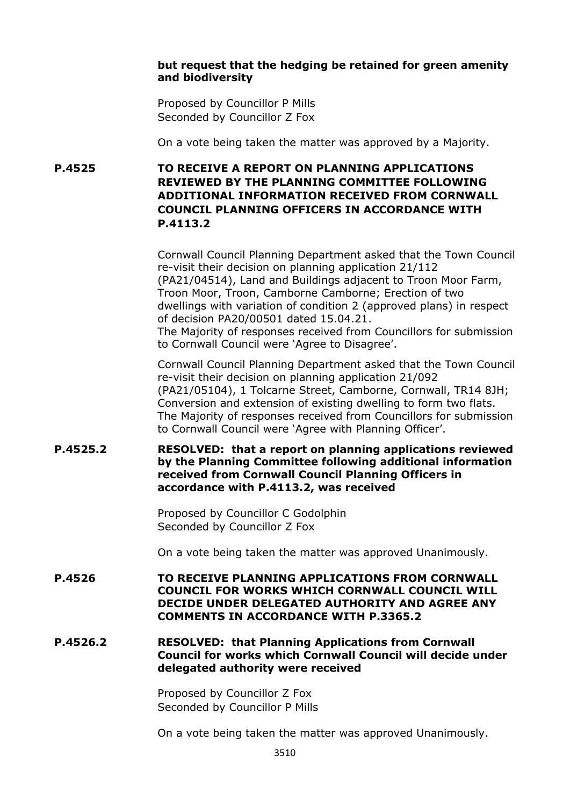## **but request that the hedging be retained for green amenity and biodiversity**

Proposed by Councillor P Mills Seconded by Councillor Z Fox

On a vote being taken the matter was approved by a Majority.

**P.4525 TO RECEIVE A REPORT ON PLANNING APPLICATIONS REVIEWED BY THE PLANNING COMMITTEE FOLLOWING ADDITIONAL INFORMATION RECEIVED FROM CORNWALL COUNCIL PLANNING OFFICERS IN ACCORDANCE WITH P.4113.2**

> Cornwall Council Planning Department asked that the Town Council re-visit their decision on planning application 21/112 (PA21/04514), Land and Buildings adjacent to Troon Moor Farm, Troon Moor, Troon, Camborne Camborne; Erection of two dwellings with variation of condition 2 (approved plans) in respect of decision PA20/00501 dated 15.04.21. The Majority of responses received from Councillors for submission to Cornwall Council were 'Agree to Disagree'.

> Cornwall Council Planning Department asked that the Town Council re-visit their decision on planning application 21/092 (PA21/05104), 1 Tolcarne Street, Camborne, Cornwall, TR14 8JH; Conversion and extension of existing dwelling to form two flats. The Majority of responses received from Councillors for submission to Cornwall Council were 'Agree with Planning Officer'.

## **P.4525.2 RESOLVED: that a report on planning applications reviewed by the Planning Committee following additional information received from Cornwall Council Planning Officers in accordance with P.4113.2, was received**

Proposed by Councillor C Godolphin Seconded by Councillor Z Fox

On a vote being taken the matter was approved Unanimously.

**P.4526 TO RECEIVE PLANNING APPLICATIONS FROM CORNWALL COUNCIL FOR WORKS WHICH CORNWALL COUNCIL WILL DECIDE UNDER DELEGATED AUTHORITY AND AGREE ANY COMMENTS IN ACCORDANCE WITH P.3365.2**

## **P.4526.2 RESOLVED: that Planning Applications from Cornwall Council for works which Cornwall Council will decide under delegated authority were received**

Proposed by Councillor Z Fox Seconded by Councillor P Mills

On a vote being taken the matter was approved Unanimously.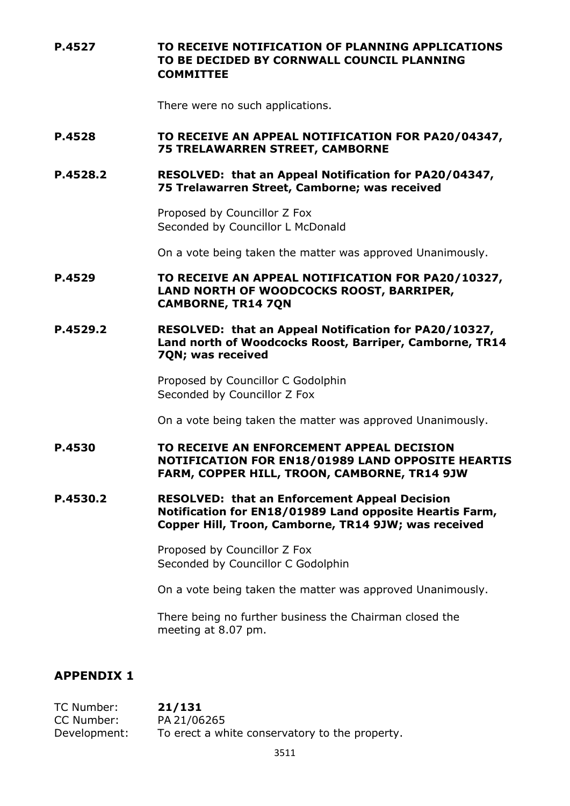**P.4527 TO RECEIVE NOTIFICATION OF PLANNING APPLICATIONS TO BE DECIDED BY CORNWALL COUNCIL PLANNING COMMITTEE**

There were no such applications.

### **P.4528 TO RECEIVE AN APPEAL NOTIFICATION FOR PA20/04347, 75 TRELAWARREN STREET, CAMBORNE**

#### **P.4528.2 RESOLVED: that an Appeal Notification for PA20/04347, 75 Trelawarren Street, Camborne; was received**

Proposed by Councillor Z Fox Seconded by Councillor L McDonald

On a vote being taken the matter was approved Unanimously.

- **P.4529 TO RECEIVE AN APPEAL NOTIFICATION FOR PA20/10327, LAND NORTH OF WOODCOCKS ROOST, BARRIPER, CAMBORNE, TR14 7QN**
- **P.4529.2 RESOLVED: that an Appeal Notification for PA20/10327, Land north of Woodcocks Roost, Barriper, Camborne, TR14 7QN; was received**

Proposed by Councillor C Godolphin Seconded by Councillor Z Fox

On a vote being taken the matter was approved Unanimously.

- **P.4530 TO RECEIVE AN ENFORCEMENT APPEAL DECISION NOTIFICATION FOR EN18/01989 LAND OPPOSITE HEARTIS FARM, COPPER HILL, TROON, CAMBORNE, TR14 9JW**
- **P.4530.2 RESOLVED: that an Enforcement Appeal Decision Notification for EN18/01989 Land opposite Heartis Farm, Copper Hill, Troon, Camborne, TR14 9JW; was received**

Proposed by Councillor Z Fox Seconded by Councillor C Godolphin

On a vote being taken the matter was approved Unanimously.

There being no further business the Chairman closed the meeting at 8.07 pm.

# **APPENDIX 1**

TC Number: **21/131**  CC Number: PA 21/06265 Development: To erect a white conservatory to the property.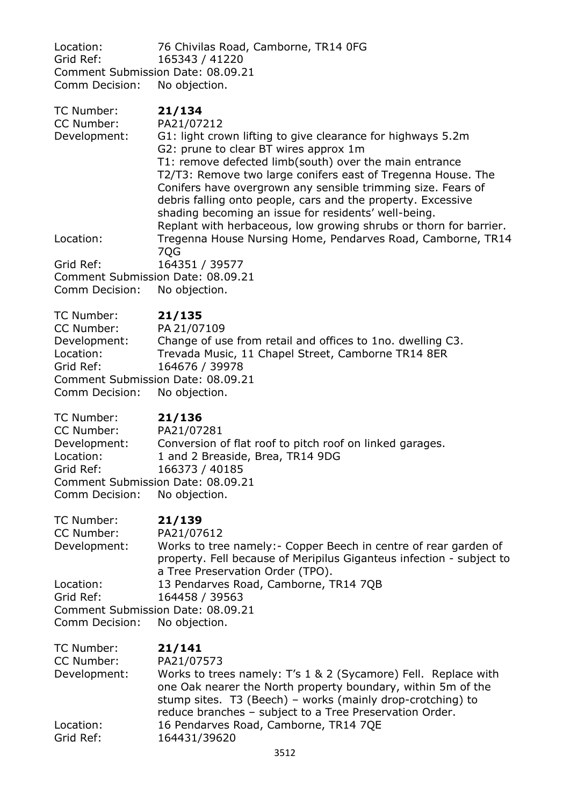Location: 76 Chivilas Road, Camborne, TR14 0FG<br>Grid Ref: 165343 / 41220 165343 / 41220 Comment Submission Date: 08.09.21<br>Comm Decision: No objection. Comm Decision:

| TC Number:<br>CC Number:<br>Development:                                             | 21/134<br>PA21/07212<br>G1: light crown lifting to give clearance for highways 5.2m<br>G2: prune to clear BT wires approx 1m<br>T1: remove defected limb(south) over the main entrance<br>T2/T3: Remove two large conifers east of Tregenna House. The<br>Conifers have overgrown any sensible trimming size. Fears of<br>debris falling onto people, cars and the property. Excessive<br>shading becoming an issue for residents' well-being.<br>Replant with herbaceous, low growing shrubs or thorn for barrier. |
|--------------------------------------------------------------------------------------|---------------------------------------------------------------------------------------------------------------------------------------------------------------------------------------------------------------------------------------------------------------------------------------------------------------------------------------------------------------------------------------------------------------------------------------------------------------------------------------------------------------------|
| Location:                                                                            | Tregenna House Nursing Home, Pendarves Road, Camborne, TR14<br>7QG                                                                                                                                                                                                                                                                                                                                                                                                                                                  |
| Grid Ref:<br>Comm Decision:                                                          | 164351 / 39577<br>Comment Submission Date: 08.09.21<br>No objection.                                                                                                                                                                                                                                                                                                                                                                                                                                                |
| TC Number:<br>CC Number:<br>Development:<br>Location:<br>Grid Ref:<br>Comm Decision: | 21/135<br>PA 21/07109<br>Change of use from retail and offices to 1no. dwelling C3.<br>Trevada Music, 11 Chapel Street, Camborne TR14 8ER<br>164676 / 39978<br>Comment Submission Date: 08.09.21<br>No objection.                                                                                                                                                                                                                                                                                                   |
| TC Number:<br>CC Number:<br>Development:<br>Location:<br>Grid Ref:<br>Comm Decision: | 21/136<br>PA21/07281<br>Conversion of flat roof to pitch roof on linked garages.<br>1 and 2 Breaside, Brea, TR14 9DG<br>166373 / 40185<br>Comment Submission Date: 08.09.21<br>No objection.                                                                                                                                                                                                                                                                                                                        |
| TC Number:<br>CC Number:<br>Development:                                             | 21/139<br>PA21/07612<br>Works to tree namely: - Copper Beech in centre of rear garden of<br>property. Fell because of Meripilus Giganteus infection - subject to                                                                                                                                                                                                                                                                                                                                                    |
| Location:<br>Grid Ref:<br>Comment Submission Date: 08.09.21<br>Comm Decision:        | a Tree Preservation Order (TPO).<br>13 Pendarves Road, Camborne, TR14 7QB<br>164458 / 39563<br>No objection.                                                                                                                                                                                                                                                                                                                                                                                                        |
| TC Number:<br>CC Number:<br>Development:                                             | 21/141<br>PA21/07573<br>Works to trees namely: T's 1 & 2 (Sycamore) Fell. Replace with<br>one Oak nearer the North property boundary, within 5m of the<br>stump sites. T3 (Beech) - works (mainly drop-crotching) to<br>reduce branches - subject to a Tree Preservation Order.                                                                                                                                                                                                                                     |
| Location:<br>Grid Ref:                                                               | 16 Pendarves Road, Camborne, TR14 7QE<br>164431/39620                                                                                                                                                                                                                                                                                                                                                                                                                                                               |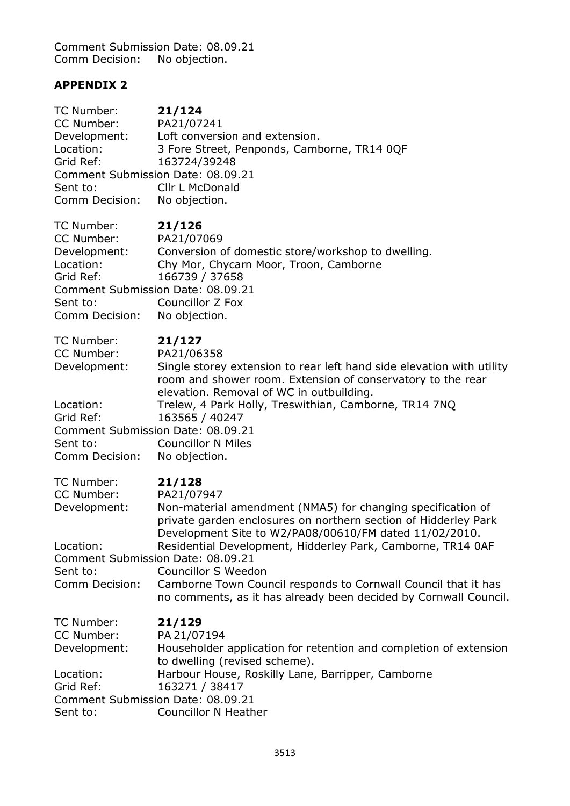Comment Submission Date: 08.09.21 Comm Decision: No objection.

# **APPENDIX 2**

| TC Number:                        | 21/124                                                                                             |
|-----------------------------------|----------------------------------------------------------------------------------------------------|
| CC Number:                        | PA21/07241                                                                                         |
| Development:                      | Loft conversion and extension.                                                                     |
| Location:                         | 3 Fore Street, Penponds, Camborne, TR14 0QF                                                        |
| Grid Ref:                         | 163724/39248                                                                                       |
| Comment Submission Date: 08.09.21 |                                                                                                    |
| Sent to:                          | Cllr L McDonald                                                                                    |
| Comm Decision:                    | No objection.                                                                                      |
| TC Number:                        | 21/126                                                                                             |
| CC Number:                        | PA21/07069                                                                                         |
| Development:                      | Conversion of domestic store/workshop to dwelling.                                                 |
| Location:                         | Chy Mor, Chycarn Moor, Troon, Camborne                                                             |
| Grid Ref:                         | 166739 / 37658                                                                                     |
| Comment Submission Date: 08.09.21 |                                                                                                    |
| Sent to:                          | Councillor Z Fox                                                                                   |
| Comm Decision:                    | No objection.                                                                                      |
| TC Number:                        | 21/127                                                                                             |
| CC Number:                        | PA21/06358                                                                                         |
| Development:                      | Single storey extension to rear left hand side elevation with utility                              |
|                                   | room and shower room. Extension of conservatory to the rear                                        |
|                                   | elevation. Removal of WC in outbuilding.                                                           |
| Location:                         | Trelew, 4 Park Holly, Treswithian, Camborne, TR14 7NQ                                              |
| Grid Ref:                         | 163565 / 40247                                                                                     |
| Comment Submission Date: 08.09.21 |                                                                                                    |
| Sent to:                          | <b>Councillor N Miles</b>                                                                          |
| Comm Decision:                    | No objection.                                                                                      |
| TC Number:                        | 21/128                                                                                             |
| CC Number:                        | PA21/07947                                                                                         |
| Development:                      | Non-material amendment (NMA5) for changing specification of                                        |
|                                   | private garden enclosures on northern section of Hidderley Park                                    |
|                                   | Development Site to W2/PA08/00610/FM dated 11/02/2010                                              |
| Location:                         | Residential Development, Hidderley Park, Camborne, TR14 0AF                                        |
| Comment Submission Date: 08.09.21 |                                                                                                    |
| Sent to:                          | Councillor S Weedon                                                                                |
| Comm Decision:                    | Camborne Town Council responds to Cornwall Council that it has                                     |
|                                   | no comments, as it has already been decided by Cornwall Council.                                   |
| TC Number:                        | 21/129                                                                                             |
| CC Number:                        | PA 21/07194                                                                                        |
| Development:                      | Householder application for retention and completion of extension<br>to dwelling (revised scheme). |
| Location:                         | Harbour House, Roskilly Lane, Barripper, Camborne                                                  |
| Grid Ref:                         | 163271 / 38417                                                                                     |
| Comment Submission Date: 08.09.21 |                                                                                                    |
| Sent to:                          | <b>Councillor N Heather</b>                                                                        |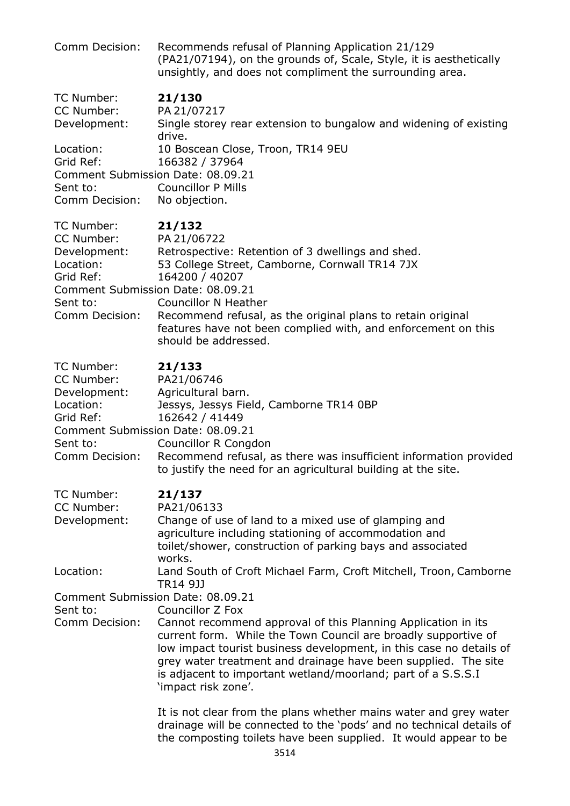| Comm Decision:                                                                                                                        | Recommends refusal of Planning Application 21/129<br>(PA21/07194), on the grounds of, Scale, Style, it is aesthetically<br>unsightly, and does not compliment the surrounding area.                                                                                                                                                                                                 |
|---------------------------------------------------------------------------------------------------------------------------------------|-------------------------------------------------------------------------------------------------------------------------------------------------------------------------------------------------------------------------------------------------------------------------------------------------------------------------------------------------------------------------------------|
| TC Number:<br>CC Number:<br>Development:                                                                                              | 21/130<br>PA 21/07217<br>Single storey rear extension to bungalow and widening of existing<br>drive.                                                                                                                                                                                                                                                                                |
| Location:<br>Grid Ref:<br>Comment Submission Date: 08.09.21<br>Sent to:<br>Comm Decision:                                             | 10 Boscean Close, Troon, TR14 9EU<br>166382 / 37964<br><b>Councillor P Mills</b><br>No objection.                                                                                                                                                                                                                                                                                   |
| TC Number:<br>CC Number:<br>Development:<br>Location:<br>Grid Ref:<br>Comment Submission Date: 08.09.21<br>Sent to:<br>Comm Decision: | 21/132<br>PA 21/06722<br>Retrospective: Retention of 3 dwellings and shed.<br>53 College Street, Camborne, Cornwall TR14 7JX<br>164200 / 40207<br><b>Councillor N Heather</b><br>Recommend refusal, as the original plans to retain original<br>features have not been complied with, and enforcement on this<br>should be addressed.                                               |
| TC Number:<br>CC Number:<br>Development:<br>Location:<br>Grid Ref:<br>Comment Submission Date: 08.09.21<br>Sent to:<br>Comm Decision: | 21/133<br>PA21/06746<br>Agricultural barn.<br>Jessys, Jessys Field, Camborne TR14 0BP<br>162642 / 41449<br><b>Councillor R Congdon</b><br>Recommend refusal, as there was insufficient information provided<br>to justify the need for an agricultural building at the site.                                                                                                        |
| TC Number:<br>CC Number:<br>Development:                                                                                              | 21/137<br>PA21/06133<br>Change of use of land to a mixed use of glamping and<br>agriculture including stationing of accommodation and<br>toilet/shower, construction of parking bays and associated<br>works.                                                                                                                                                                       |
| Location:                                                                                                                             | Land South of Croft Michael Farm, Croft Mitchell, Troon, Camborne<br>TR14 9JJ                                                                                                                                                                                                                                                                                                       |
| Comment Submission Date: 08.09.21<br>Sent to:<br>Comm Decision:                                                                       | Councillor Z Fox<br>Cannot recommend approval of this Planning Application in its<br>current form. While the Town Council are broadly supportive of<br>low impact tourist business development, in this case no details of<br>grey water treatment and drainage have been supplied. The site<br>is adjacent to important wetland/moorland; part of a S.S.S.I<br>'impact risk zone'. |
|                                                                                                                                       | It is not clear from the plans whether mains water and grey water<br>drainage will be connected to the 'pods' and no technical details of<br>the composting toilets have been supplied. It would appear to be                                                                                                                                                                       |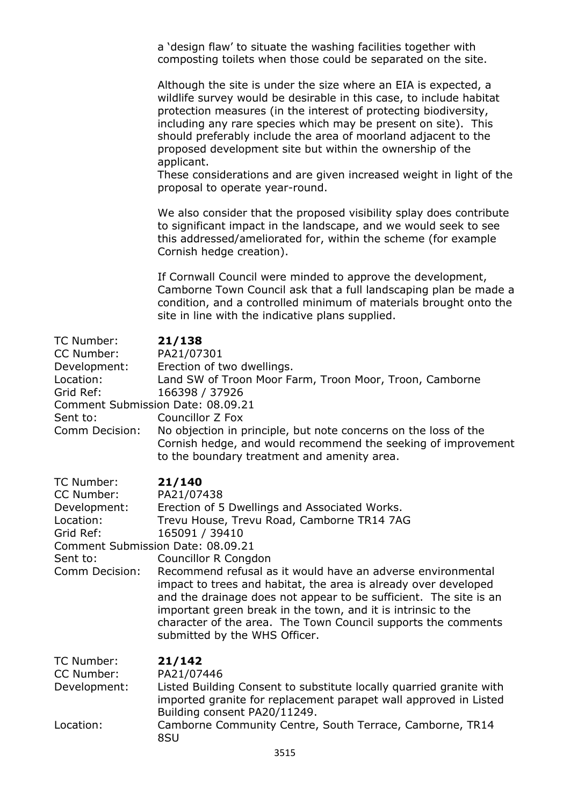a 'design flaw' to situate the washing facilities together with composting toilets when those could be separated on the site.

Although the site is under the size where an EIA is expected, a wildlife survey would be desirable in this case, to include habitat protection measures (in the interest of protecting biodiversity, including any rare species which may be present on site). This should preferably include the area of moorland adjacent to the proposed development site but within the ownership of the applicant.

These considerations and are given increased weight in light of the proposal to operate year-round.

We also consider that the proposed visibility splay does contribute to significant impact in the landscape, and we would seek to see this addressed/ameliorated for, within the scheme (for example Cornish hedge creation).

If Cornwall Council were minded to approve the development, Camborne Town Council ask that a full landscaping plan be made a condition, and a controlled minimum of materials brought onto the site in line with the indicative plans supplied.

|  |  | ×<br>۰ |
|--|--|--------|
|--|--|--------|

| TC Number:<br>CC Number:<br>Development:<br>Location:<br>Grid Ref:<br>Comment Submission Date: 08.09.21<br>Sent to:<br>Comm Decision: | 21/138<br>PA21/07301<br>Erection of two dwellings.<br>Land SW of Troon Moor Farm, Troon Moor, Troon, Camborne<br>166398 / 37926<br>Councillor Z Fox<br>No objection in principle, but note concerns on the loss of the<br>Cornish hedge, and would recommend the seeking of improvement<br>to the boundary treatment and amenity area.                                                                                                                                                                                                  |
|---------------------------------------------------------------------------------------------------------------------------------------|-----------------------------------------------------------------------------------------------------------------------------------------------------------------------------------------------------------------------------------------------------------------------------------------------------------------------------------------------------------------------------------------------------------------------------------------------------------------------------------------------------------------------------------------|
| TC Number:<br>CC Number:<br>Development:<br>Location:<br>Grid Ref:<br>Comment Submission Date: 08.09.21<br>Sent to:<br>Comm Decision: | 21/140<br>PA21/07438<br>Erection of 5 Dwellings and Associated Works.<br>Trevu House, Trevu Road, Camborne TR14 7AG<br>165091 / 39410<br>Councillor R Congdon<br>Recommend refusal as it would have an adverse environmental<br>impact to trees and habitat, the area is already over developed<br>and the drainage does not appear to be sufficient. The site is an<br>important green break in the town, and it is intrinsic to the<br>character of the area. The Town Council supports the comments<br>submitted by the WHS Officer. |
| TC Number:<br>CC Number:<br>Development:<br>Location:                                                                                 | 21/142<br>PA21/07446<br>Listed Building Consent to substitute locally quarried granite with<br>imported granite for replacement parapet wall approved in Listed<br>Building consent PA20/11249.<br>Camborne Community Centre, South Terrace, Camborne, TR14<br>8SU                                                                                                                                                                                                                                                                      |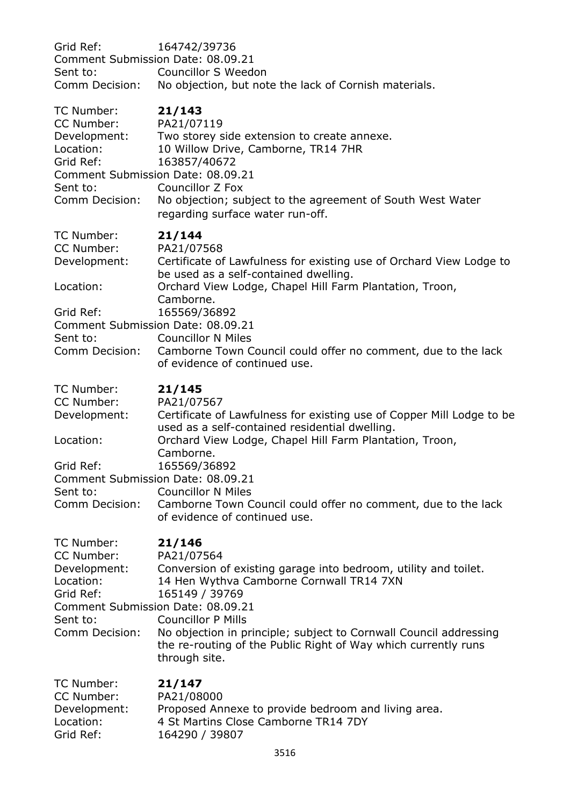| Grid Ref:<br>Comment Submission Date: 08.09.21<br>Sent to:<br>Comm Decision:                                                          | 164742/39736<br>Councillor S Weedon<br>No objection, but note the lack of Cornish materials.                                                                                                                                                                                                                                                                           |
|---------------------------------------------------------------------------------------------------------------------------------------|------------------------------------------------------------------------------------------------------------------------------------------------------------------------------------------------------------------------------------------------------------------------------------------------------------------------------------------------------------------------|
| TC Number:<br>CC Number:<br>Development:<br>Location:<br>Grid Ref:<br>Comment Submission Date: 08.09.21<br>Sent to:<br>Comm Decision: | 21/143<br>PA21/07119<br>Two storey side extension to create annexe.<br>10 Willow Drive, Camborne, TR14 7HR<br>163857/40672<br>Councillor Z Fox<br>No objection; subject to the agreement of South West Water<br>regarding surface water run-off.                                                                                                                       |
| TC Number:<br>CC Number:<br>Development:<br>Location:<br>Grid Ref:<br>Comment Submission Date: 08.09.21<br>Sent to:<br>Comm Decision: | 21/144<br>PA21/07568<br>Certificate of Lawfulness for existing use of Orchard View Lodge to<br>be used as a self-contained dwelling.<br>Orchard View Lodge, Chapel Hill Farm Plantation, Troon,<br>Camborne.<br>165569/36892<br><b>Councillor N Miles</b><br>Camborne Town Council could offer no comment, due to the lack<br>of evidence of continued use.            |
| TC Number:<br>CC Number:<br>Development:<br>Location:<br>Grid Ref:<br>Comment Submission Date: 08.09.21<br>Sent to:<br>Comm Decision: | 21/145<br>PA21/07567<br>Certificate of Lawfulness for existing use of Copper Mill Lodge to be<br>used as a self-contained residential dwelling.<br>Orchard View Lodge, Chapel Hill Farm Plantation, Troon,<br>Camborne.<br>165569/36892<br><b>Councillor N Miles</b><br>Camborne Town Council could offer no comment, due to the lack<br>of evidence of continued use. |
| TC Number:<br>CC Number:<br>Development:<br>Location:<br>Grid Ref:<br>Comment Submission Date: 08.09.21<br>Sent to:<br>Comm Decision: | 21/146<br>PA21/07564<br>Conversion of existing garage into bedroom, utility and toilet.<br>14 Hen Wythva Camborne Cornwall TR14 7XN<br>165149 / 39769<br><b>Councillor P Mills</b><br>No objection in principle; subject to Cornwall Council addressing<br>the re-routing of the Public Right of Way which currently runs<br>through site.                             |
| TC Number:<br>CC Number:<br>Development:<br>Location:<br>Grid Ref:                                                                    | 21/147<br>PA21/08000<br>Proposed Annexe to provide bedroom and living area.<br>4 St Martins Close Camborne TR14 7DY<br>164290 / 39807                                                                                                                                                                                                                                  |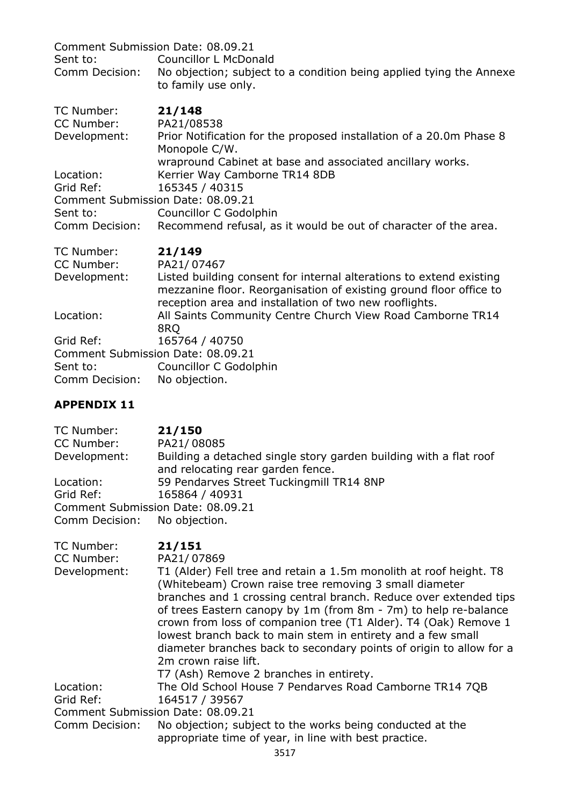| Comment Submission Date: 08.09.21<br><b>Councillor L McDonald</b><br>No objection; subject to a condition being applied tying the Annexe<br>to family use only.                                     |
|-----------------------------------------------------------------------------------------------------------------------------------------------------------------------------------------------------|
| 21/148                                                                                                                                                                                              |
| PA21/08538<br>Prior Notification for the proposed installation of a 20.0m Phase 8<br>Monopole C/W.                                                                                                  |
| wrapround Cabinet at base and associated ancillary works.<br>Kerrier Way Camborne TR14 8DB<br>165345 / 40315                                                                                        |
| Comment Submission Date: 08.09.21                                                                                                                                                                   |
| Councillor C Godolphin<br>Recommend refusal, as it would be out of character of the area.                                                                                                           |
| 21/149<br>PA21/07467                                                                                                                                                                                |
| Listed building consent for internal alterations to extend existing<br>mezzanine floor. Reorganisation of existing ground floor office to<br>reception area and installation of two new rooflights. |
| All Saints Community Centre Church View Road Camborne TR14<br>8RQ                                                                                                                                   |
| 165764 / 40750<br>Comment Submission Date: 08.09.21<br>Councillor C Godolphin<br>No objection.                                                                                                      |
|                                                                                                                                                                                                     |

# **APPENDIX 11**

| TC Number:                        | 21/150                                                                                                 |
|-----------------------------------|--------------------------------------------------------------------------------------------------------|
| CC Number:                        | PA21/08085                                                                                             |
| Development:                      | Building a detached single story garden building with a flat roof<br>and relocating rear garden fence. |
| Location:                         | 59 Pendarves Street Tuckingmill TR14 8NP                                                               |
| Grid Ref:                         | 165864 / 40931                                                                                         |
| Comment Submission Date: 08.09.21 |                                                                                                        |
| Comm Decision: No objection.      |                                                                                                        |

| TC Number:<br>CC Number:          | 21/151<br>PA21/07869                                                                                                        |
|-----------------------------------|-----------------------------------------------------------------------------------------------------------------------------|
| Development:                      | T1 (Alder) Fell tree and retain a 1.5m monolith at roof height. T8                                                          |
|                                   | (Whitebeam) Crown raise tree removing 3 small diameter<br>branches and 1 crossing central branch. Reduce over extended tips |
|                                   | of trees Eastern canopy by 1m (from 8m - 7m) to help re-balance                                                             |
|                                   | crown from loss of companion tree (T1 Alder). T4 (Oak) Remove 1                                                             |
|                                   | lowest branch back to main stem in entirety and a few small                                                                 |
|                                   | diameter branches back to secondary points of origin to allow for a<br>2m crown raise lift.                                 |
|                                   | T7 (Ash) Remove 2 branches in entirety.                                                                                     |
| Location:                         | The Old School House 7 Pendarves Road Camborne TR14 7QB                                                                     |
| Grid Ref:                         | 164517 / 39567                                                                                                              |
| Comment Submission Date: 08.09.21 |                                                                                                                             |
| Comm Decision:                    | No objection; subject to the works being conducted at the<br>appropriate time of year, in line with best practice.          |